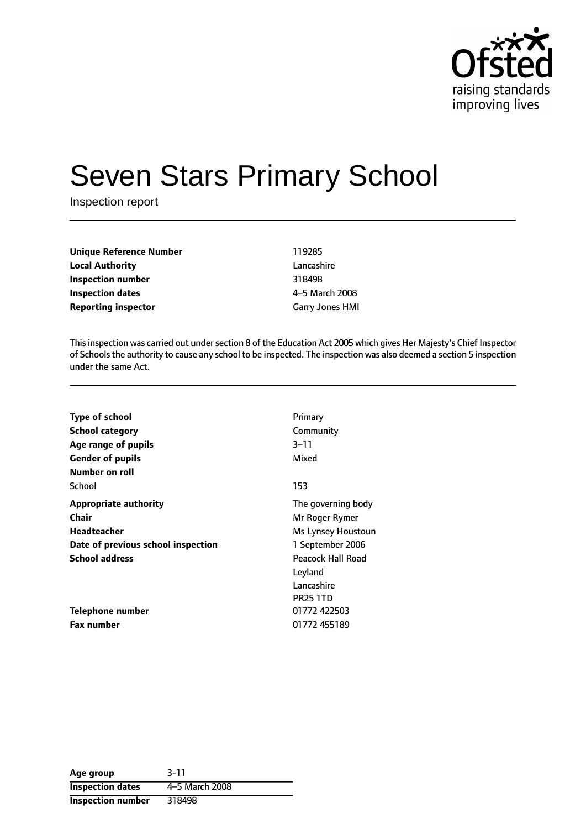

# Seven Stars Primary School

Inspection report

| <b>Unique Reference Number</b> | 119285                 |
|--------------------------------|------------------------|
| <b>Local Authority</b>         | Lancashire             |
| Inspection number              | 318498                 |
| Inspection dates               | 4–5 March 2008         |
| <b>Reporting inspector</b>     | <b>Garry Jones HMI</b> |

This inspection was carried out under section 8 of the Education Act 2005 which gives Her Majesty's Chief Inspector of Schoolsthe authority to cause any school to be inspected. The inspection was also deemed a section 5 inspection under the same Act.

| <b>Type of school</b>              | Primary            |
|------------------------------------|--------------------|
| <b>School category</b>             | Community          |
| Age range of pupils                | 3–11               |
| <b>Gender of pupils</b>            | Mixed              |
| Number on roll                     |                    |
| School                             | 153                |
| <b>Appropriate authority</b>       | The governing body |
| Chair                              | Mr Roger Rymer     |
| <b>Headteacher</b>                 | Ms Lynsey Houstoun |
| Date of previous school inspection | 1 September 2006   |
| <b>School address</b>              | Peacock Hall Road  |
|                                    | Leyland            |
|                                    | Lancashire         |
|                                    | <b>PR25 1TD</b>    |
| Telephone number                   | 01772 422503       |
| <b>Fax number</b>                  | 01772 455189       |
|                                    |                    |

| Age group                | $3 - 11$       |
|--------------------------|----------------|
| <b>Inspection dates</b>  | 4-5 March 2008 |
| <b>Inspection number</b> | 318498         |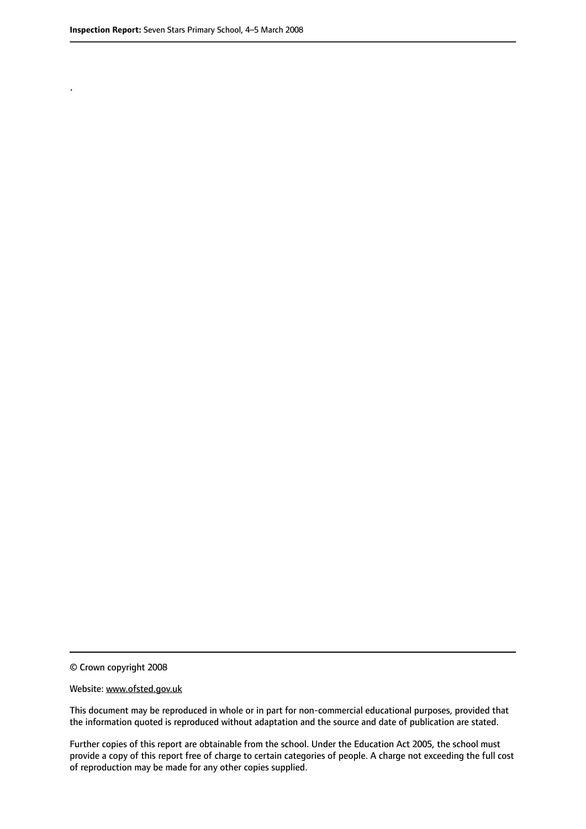.

© Crown copyright 2008

#### Website: www.ofsted.gov.uk

This document may be reproduced in whole or in part for non-commercial educational purposes, provided that the information quoted is reproduced without adaptation and the source and date of publication are stated.

Further copies of this report are obtainable from the school. Under the Education Act 2005, the school must provide a copy of this report free of charge to certain categories of people. A charge not exceeding the full cost of reproduction may be made for any other copies supplied.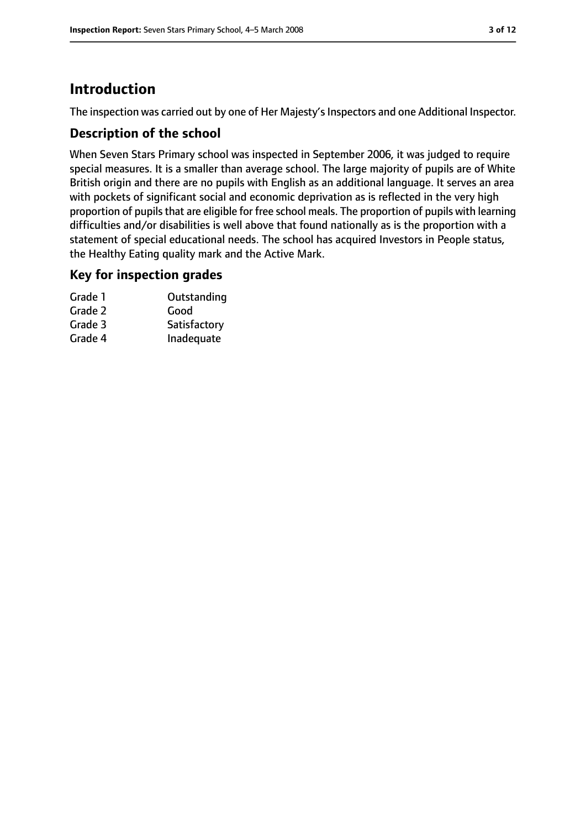# **Introduction**

The inspection was carried out by one of Her Majesty's Inspectors and one Additional Inspector.

#### **Description of the school**

When Seven Stars Primary school was inspected in September 2006, it was judged to require special measures. It is a smaller than average school. The large majority of pupils are of White British origin and there are no pupils with English as an additional language. It serves an area with pockets of significant social and economic deprivation as is reflected in the very high proportion of pupils that are eligible for free school meals. The proportion of pupils with learning difficulties and/or disabilities is well above that found nationally as is the proportion with a statement of special educational needs. The school has acquired Investors in People status, the Healthy Eating quality mark and the Active Mark.

#### **Key for inspection grades**

| Grade 1 | Outstanding  |
|---------|--------------|
| Grade 2 | Good         |
| Grade 3 | Satisfactory |
| Grade 4 | Inadequate   |
|         |              |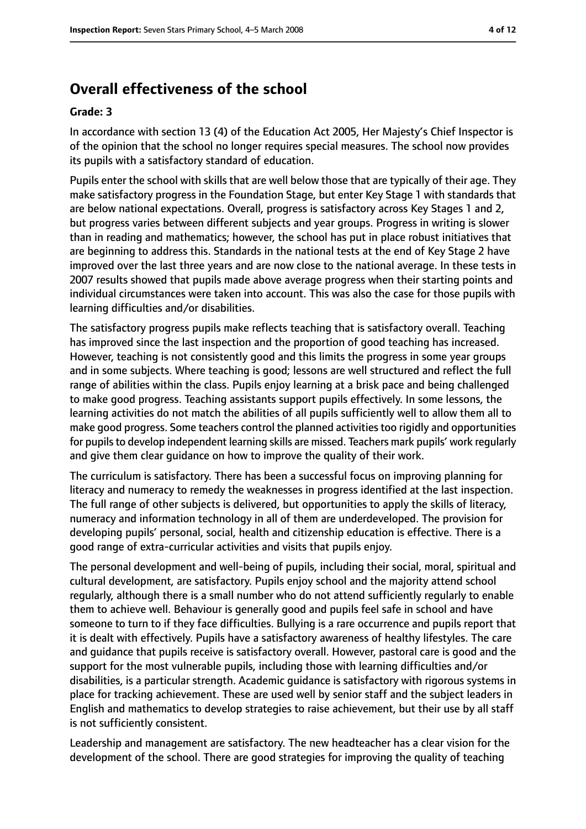## **Overall effectiveness of the school**

#### **Grade: 3**

In accordance with section 13 (4) of the Education Act 2005, Her Majesty's Chief Inspector is of the opinion that the school no longer requires special measures. The school now provides its pupils with a satisfactory standard of education.

Pupils enter the school with skills that are well below those that are typically of their age. They make satisfactory progress in the Foundation Stage, but enter Key Stage 1 with standards that are below national expectations. Overall, progress is satisfactory across Key Stages 1 and 2, but progress varies between different subjects and year groups. Progress in writing is slower than in reading and mathematics; however, the school has put in place robust initiatives that are beginning to address this. Standards in the national tests at the end of Key Stage 2 have improved over the last three years and are now close to the national average. In these tests in 2007 results showed that pupils made above average progress when their starting points and individual circumstances were taken into account. This was also the case for those pupils with learning difficulties and/or disabilities.

The satisfactory progress pupils make reflects teaching that is satisfactory overall. Teaching has improved since the last inspection and the proportion of good teaching has increased. However, teaching is not consistently good and this limits the progress in some year groups and in some subjects. Where teaching is good; lessons are well structured and reflect the full range of abilities within the class. Pupils enjoy learning at a brisk pace and being challenged to make good progress. Teaching assistants support pupils effectively. In some lessons, the learning activities do not match the abilities of all pupils sufficiently well to allow them all to make good progress. Some teachers control the planned activities too rigidly and opportunities for pupils to develop independent learning skills are missed. Teachers mark pupils' work regularly and give them clear guidance on how to improve the quality of their work.

The curriculum is satisfactory. There has been a successful focus on improving planning for literacy and numeracy to remedy the weaknesses in progress identified at the last inspection. The full range of other subjects is delivered, but opportunities to apply the skills of literacy, numeracy and information technology in all of them are underdeveloped. The provision for developing pupils' personal, social, health and citizenship education is effective. There is a good range of extra-curricular activities and visits that pupils enjoy.

The personal development and well-being of pupils, including their social, moral, spiritual and cultural development, are satisfactory. Pupils enjoy school and the majority attend school regularly, although there is a small number who do not attend sufficiently regularly to enable them to achieve well. Behaviour is generally good and pupils feel safe in school and have someone to turn to if they face difficulties. Bullying is a rare occurrence and pupils report that it is dealt with effectively. Pupils have a satisfactory awareness of healthy lifestyles. The care and guidance that pupils receive is satisfactory overall. However, pastoral care is good and the support for the most vulnerable pupils, including those with learning difficulties and/or disabilities, is a particular strength. Academic guidance is satisfactory with rigorous systems in place for tracking achievement. These are used well by senior staff and the subject leaders in English and mathematics to develop strategies to raise achievement, but their use by all staff is not sufficiently consistent.

Leadership and management are satisfactory. The new headteacher has a clear vision for the development of the school. There are good strategies for improving the quality of teaching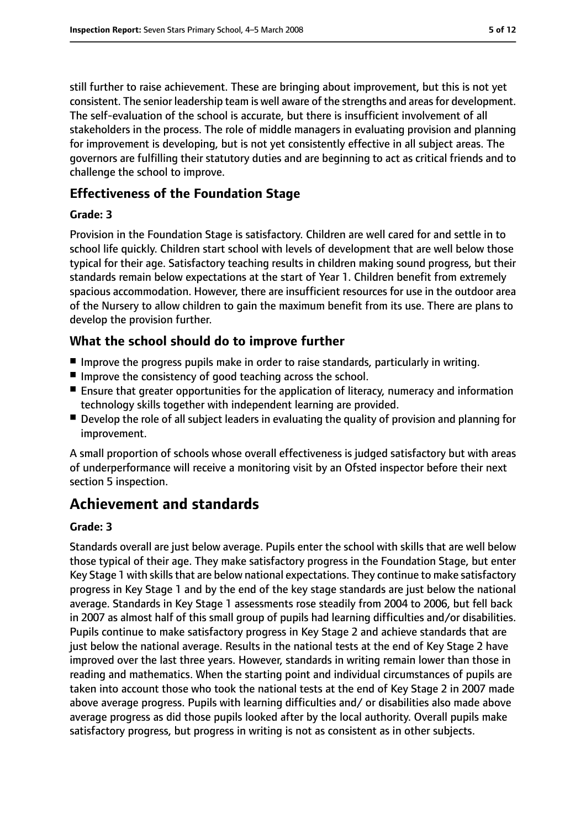still further to raise achievement. These are bringing about improvement, but this is not yet consistent. The senior leadership team is well aware of the strengths and areasfor development. The self-evaluation of the school is accurate, but there is insufficient involvement of all stakeholders in the process. The role of middle managers in evaluating provision and planning for improvement is developing, but is not yet consistently effective in all subject areas. The governors are fulfilling their statutory duties and are beginning to act as critical friends and to challenge the school to improve.

#### **Effectiveness of the Foundation Stage**

#### **Grade: 3**

Provision in the Foundation Stage is satisfactory. Children are well cared for and settle in to school life quickly. Children start school with levels of development that are well below those typical for their age. Satisfactory teaching results in children making sound progress, but their standards remain below expectations at the start of Year 1. Children benefit from extremely spacious accommodation. However, there are insufficient resources for use in the outdoor area of the Nursery to allow children to gain the maximum benefit from its use. There are plans to develop the provision further.

## **What the school should do to improve further**

- Improve the progress pupils make in order to raise standards, particularly in writing.
- Improve the consistency of good teaching across the school.
- Ensure that greater opportunities for the application of literacy, numeracy and information technology skills together with independent learning are provided.
- Develop the role of all subject leaders in evaluating the quality of provision and planning for improvement.

A small proportion of schools whose overall effectiveness is judged satisfactory but with areas of underperformance will receive a monitoring visit by an Ofsted inspector before their next section 5 inspection.

## **Achievement and standards**

#### **Grade: 3**

Standards overall are just below average. Pupils enter the school with skills that are well below those typical of their age. They make satisfactory progress in the Foundation Stage, but enter Key Stage 1 with skills that are below national expectations. They continue to make satisfactory progress in Key Stage 1 and by the end of the key stage standards are just below the national average. Standards in Key Stage 1 assessments rose steadily from 2004 to 2006, but fell back in 2007 as almost half of this small group of pupils had learning difficulties and/or disabilities. Pupils continue to make satisfactory progress in Key Stage 2 and achieve standards that are just below the national average. Results in the national tests at the end of Key Stage 2 have improved over the last three years. However, standards in writing remain lower than those in reading and mathematics. When the starting point and individual circumstances of pupils are taken into account those who took the national tests at the end of Key Stage 2 in 2007 made above average progress. Pupils with learning difficulties and/ or disabilities also made above average progress as did those pupils looked after by the local authority. Overall pupils make satisfactory progress, but progress in writing is not as consistent as in other subjects.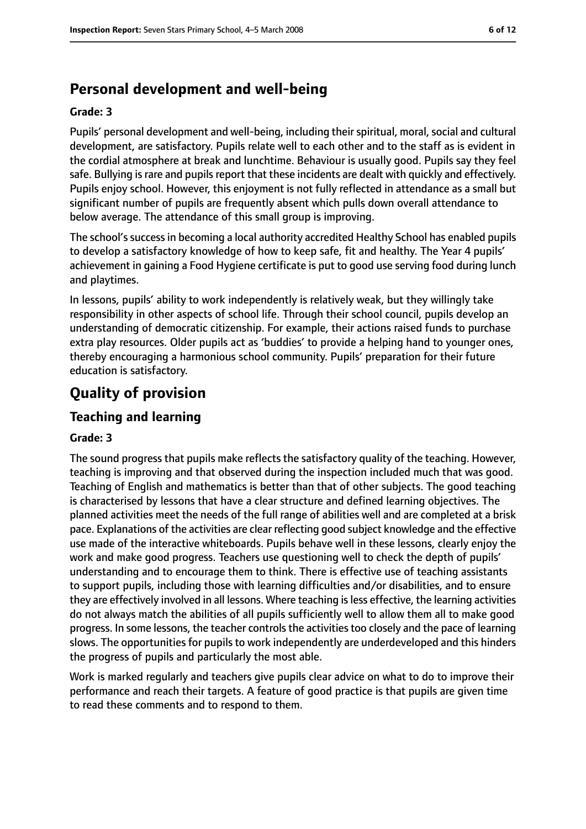# **Personal development and well-being**

#### **Grade: 3**

Pupils' personal development and well-being, including their spiritual, moral, social and cultural development, are satisfactory. Pupils relate well to each other and to the staff as is evident in the cordial atmosphere at break and lunchtime. Behaviour is usually good. Pupils say they feel safe. Bullying is rare and pupils report that these incidents are dealt with quickly and effectively. Pupils enjoy school. However, this enjoyment is not fully reflected in attendance as a small but significant number of pupils are frequently absent which pulls down overall attendance to below average. The attendance of this small group is improving.

The school's success in becoming a local authority accredited Healthy School has enabled pupils to develop a satisfactory knowledge of how to keep safe, fit and healthy. The Year 4 pupils' achievement in gaining a Food Hygiene certificate is put to good use serving food during lunch and playtimes.

In lessons, pupils' ability to work independently is relatively weak, but they willingly take responsibility in other aspects of school life. Through their school council, pupils develop an understanding of democratic citizenship. For example, their actions raised funds to purchase extra play resources. Older pupils act as 'buddies' to provide a helping hand to younger ones, thereby encouraging a harmonious school community. Pupils' preparation for their future education is satisfactory.

# **Quality of provision**

## **Teaching and learning**

#### **Grade: 3**

The sound progress that pupils make reflects the satisfactory quality of the teaching. However, teaching is improving and that observed during the inspection included much that was good. Teaching of English and mathematics is better than that of other subjects. The good teaching is characterised by lessons that have a clear structure and defined learning objectives. The planned activities meet the needs of the full range of abilities well and are completed at a brisk pace. Explanations of the activities are clear reflecting good subject knowledge and the effective use made of the interactive whiteboards. Pupils behave well in these lessons, clearly enjoy the work and make good progress. Teachers use questioning well to check the depth of pupils' understanding and to encourage them to think. There is effective use of teaching assistants to support pupils, including those with learning difficulties and/or disabilities, and to ensure they are effectively involved in all lessons. Where teaching isless effective, the learning activities do not always match the abilities of all pupils sufficiently well to allow them all to make good progress. In some lessons, the teacher controls the activities too closely and the pace of learning slows. The opportunities for pupils to work independently are underdeveloped and this hinders the progress of pupils and particularly the most able.

Work is marked regularly and teachers give pupils clear advice on what to do to improve their performance and reach their targets. A feature of good practice is that pupils are given time to read these comments and to respond to them.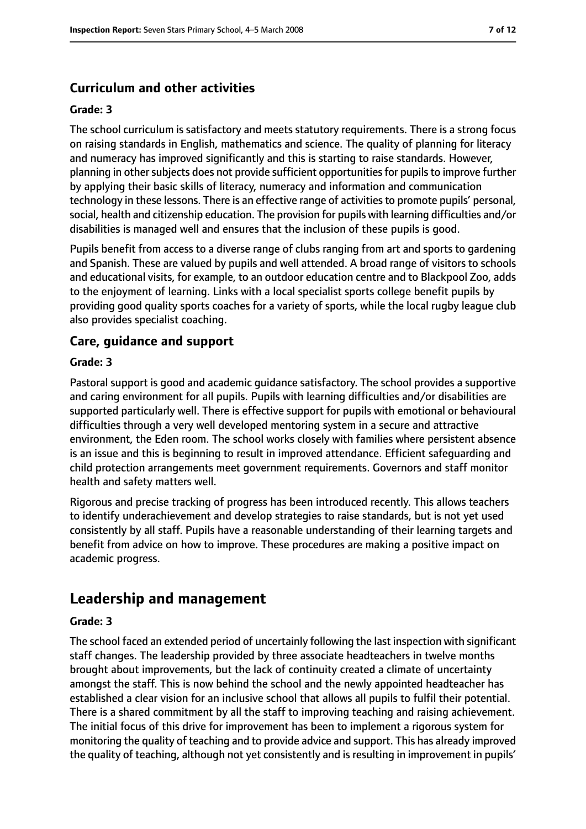## **Curriculum and other activities**

#### **Grade: 3**

The school curriculum is satisfactory and meets statutory requirements. There is a strong focus on raising standards in English, mathematics and science. The quality of planning for literacy and numeracy has improved significantly and this is starting to raise standards. However, planning in othersubjects does not provide sufficient opportunitiesfor pupilsto improve further by applying their basic skills of literacy, numeracy and information and communication technology in these lessons. There is an effective range of activitiesto promote pupils' personal, social, health and citizenship education. The provision for pupils with learning difficulties and/or disabilities is managed well and ensures that the inclusion of these pupils is good.

Pupils benefit from access to a diverse range of clubs ranging from art and sports to gardening and Spanish. These are valued by pupils and well attended. A broad range of visitors to schools and educational visits, for example, to an outdoor education centre and to Blackpool Zoo, adds to the enjoyment of learning. Links with a local specialist sports college benefit pupils by providing good quality sports coaches for a variety of sports, while the local rugby league club also provides specialist coaching.

#### **Care, guidance and support**

#### **Grade: 3**

Pastoral support is good and academic guidance satisfactory. The school provides a supportive and caring environment for all pupils. Pupils with learning difficulties and/or disabilities are supported particularly well. There is effective support for pupils with emotional or behavioural difficulties through a very well developed mentoring system in a secure and attractive environment, the Eden room. The school works closely with families where persistent absence is an issue and this is beginning to result in improved attendance. Efficient safeguarding and child protection arrangements meet government requirements. Governors and staff monitor health and safety matters well.

Rigorous and precise tracking of progress has been introduced recently. This allows teachers to identify underachievement and develop strategies to raise standards, but is not yet used consistently by all staff. Pupils have a reasonable understanding of their learning targets and benefit from advice on how to improve. These procedures are making a positive impact on academic progress.

## **Leadership and management**

#### **Grade: 3**

The school faced an extended period of uncertainly following the last inspection with significant staff changes. The leadership provided by three associate headteachers in twelve months brought about improvements, but the lack of continuity created a climate of uncertainty amongst the staff. This is now behind the school and the newly appointed headteacher has established a clear vision for an inclusive school that allows all pupils to fulfil their potential. There is a shared commitment by all the staff to improving teaching and raising achievement. The initial focus of this drive for improvement has been to implement a rigorous system for monitoring the quality of teaching and to provide advice and support. This has already improved the quality of teaching, although not yet consistently and is resulting in improvement in pupils'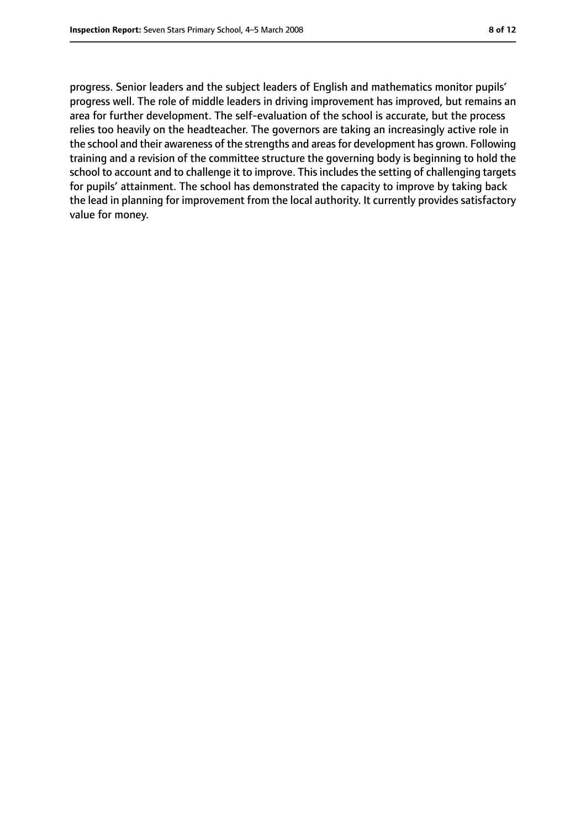progress. Senior leaders and the subject leaders of English and mathematics monitor pupils' progress well. The role of middle leaders in driving improvement has improved, but remains an area for further development. The self-evaluation of the school is accurate, but the process relies too heavily on the headteacher. The governors are taking an increasingly active role in the school and their awareness of the strengths and areas for development has grown. Following training and a revision of the committee structure the governing body is beginning to hold the school to account and to challenge it to improve. This includes the setting of challenging targets for pupils' attainment. The school has demonstrated the capacity to improve by taking back the lead in planning for improvement from the local authority. It currently provides satisfactory value for money.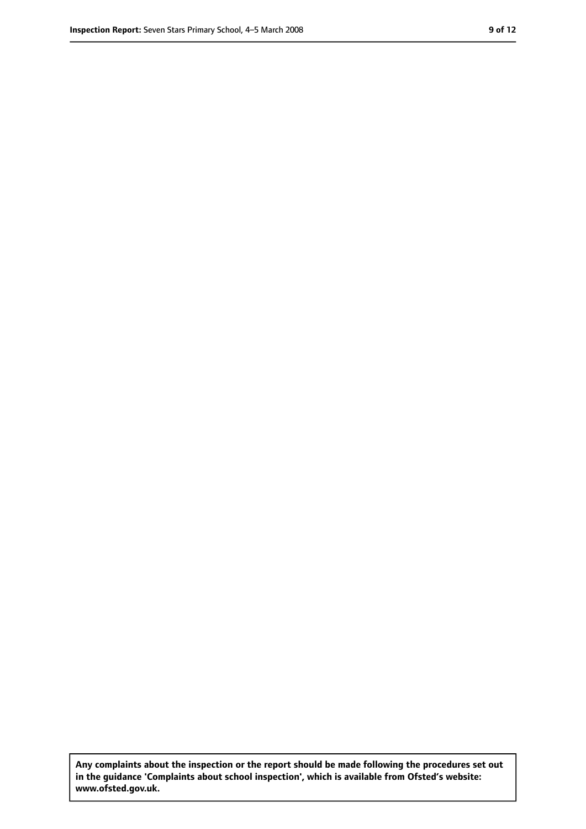**Any complaints about the inspection or the report should be made following the procedures set out in the guidance 'Complaints about school inspection', which is available from Ofsted's website: www.ofsted.gov.uk.**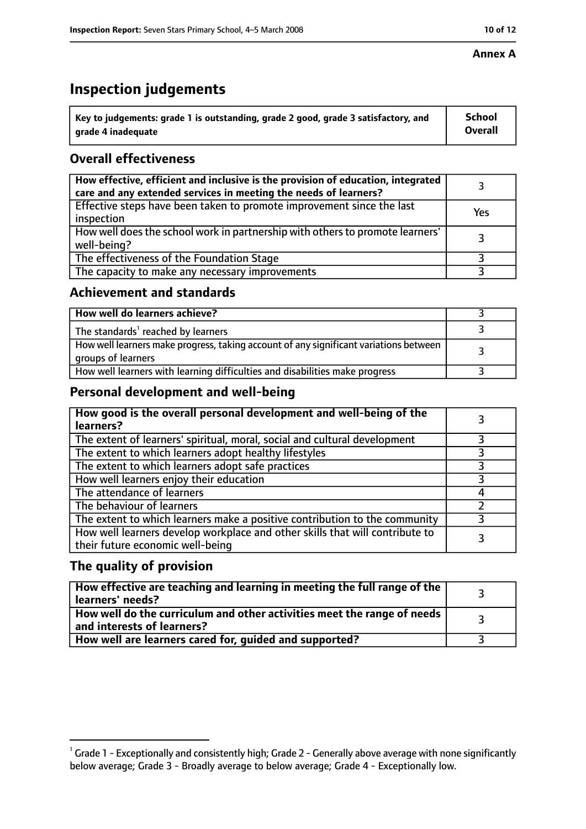#### **Annex A**

# **Inspection judgements**

| $\degree$ Key to judgements: grade 1 is outstanding, grade 2 good, grade 3 satisfactory, and | School         |
|----------------------------------------------------------------------------------------------|----------------|
| arade 4 inadequate                                                                           | <b>Overall</b> |

## **Overall effectiveness**

| How effective, efficient and inclusive is the provision of education, integrated<br>care and any extended services in meeting the needs of learners? |     |
|------------------------------------------------------------------------------------------------------------------------------------------------------|-----|
| Effective steps have been taken to promote improvement since the last<br>inspection                                                                  | Yes |
| How well does the school work in partnership with others to promote learners'<br>well-being?                                                         |     |
| The effectiveness of the Foundation Stage                                                                                                            |     |
| The capacity to make any necessary improvements                                                                                                      |     |

#### **Achievement and standards**

| How well do learners achieve?                                                                               |  |
|-------------------------------------------------------------------------------------------------------------|--|
| The standards <sup>1</sup> reached by learners                                                              |  |
| How well learners make progress, taking account of any significant variations between<br>groups of learners |  |
| How well learners with learning difficulties and disabilities make progress                                 |  |

### **Personal development and well-being**

| How good is the overall personal development and well-being of the<br>learners?                                  |  |
|------------------------------------------------------------------------------------------------------------------|--|
| The extent of learners' spiritual, moral, social and cultural development                                        |  |
| The extent to which learners adopt healthy lifestyles                                                            |  |
| The extent to which learners adopt safe practices                                                                |  |
| How well learners enjoy their education                                                                          |  |
| The attendance of learners                                                                                       |  |
| The behaviour of learners                                                                                        |  |
| The extent to which learners make a positive contribution to the community                                       |  |
| How well learners develop workplace and other skills that will contribute to<br>their future economic well-being |  |

## **The quality of provision**

| How effective are teaching and learning in meeting the full range of the<br>learners' needs?          |  |
|-------------------------------------------------------------------------------------------------------|--|
| How well do the curriculum and other activities meet the range of needs<br>and interests of learners? |  |
| How well are learners cared for, guided and supported?                                                |  |

 $^1$  Grade 1 - Exceptionally and consistently high; Grade 2 - Generally above average with none significantly below average; Grade 3 - Broadly average to below average; Grade 4 - Exceptionally low.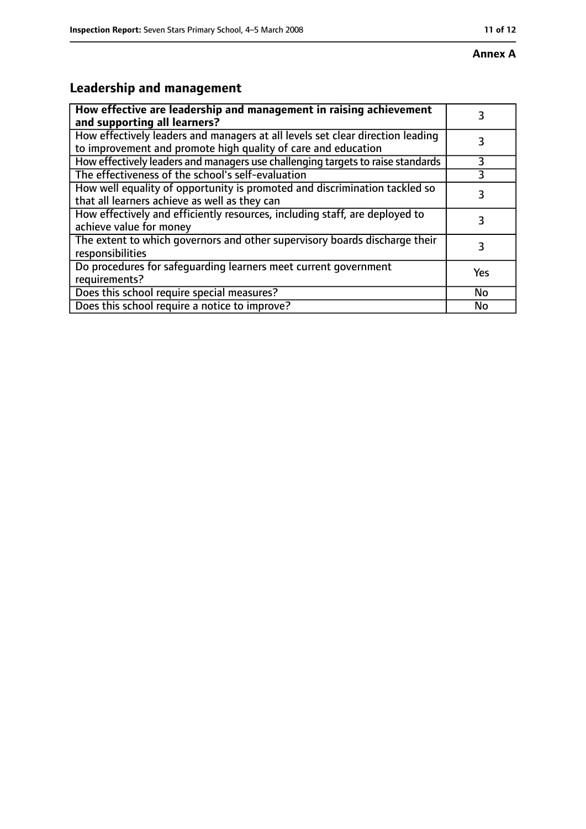# **Leadership and management**

| How effective are leadership and management in raising achievement<br>and supporting all learners?                                              |     |
|-------------------------------------------------------------------------------------------------------------------------------------------------|-----|
| How effectively leaders and managers at all levels set clear direction leading<br>to improvement and promote high quality of care and education |     |
| How effectively leaders and managers use challenging targets to raise standards                                                                 | 3   |
| The effectiveness of the school's self-evaluation                                                                                               | 3   |
| How well equality of opportunity is promoted and discrimination tackled so<br>that all learners achieve as well as they can                     | 3   |
| How effectively and efficiently resources, including staff, are deployed to<br>achieve value for money                                          | 3   |
| The extent to which governors and other supervisory boards discharge their<br>responsibilities                                                  | 3   |
| Do procedures for safequarding learners meet current government<br>requirements?                                                                | Yes |
| Does this school require special measures?                                                                                                      | No  |
| Does this school require a notice to improve?                                                                                                   | No  |